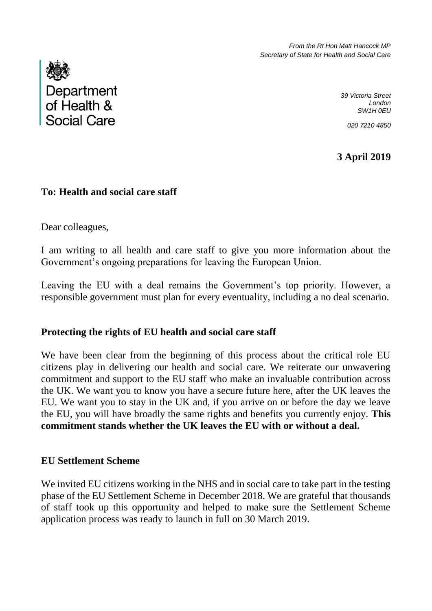

*39 Victoria Street London SW1H 0EU*

*020 7210 4850*

**3 April 2019**

## **To: Health and social care staff**

Dear colleagues,

I am writing to all health and care staff to give you more information about the Government's ongoing preparations for leaving the European Union.

Leaving the EU with a deal remains the Government's top priority. However, a responsible government must plan for every eventuality, including a no deal scenario.

### **Protecting the rights of EU health and social care staff**

We have been clear from the beginning of this process about the critical role EU citizens play in delivering our health and social care. We reiterate our unwavering commitment and support to the EU staff who make an invaluable contribution across the UK. We want you to know you have a secure future here, after the UK leaves the EU. We want you to stay in the UK and, if you arrive on or before the day we leave the EU, you will have broadly the same rights and benefits you currently enjoy. **This commitment stands whether the UK leaves the EU with or without a deal.**

#### **EU Settlement Scheme**

We invited EU citizens working in the NHS and in social care to take part in the testing phase of the EU Settlement Scheme in December 2018. We are grateful that thousands of staff took up this opportunity and helped to make sure the Settlement Scheme application process was ready to launch in full on 30 March 2019.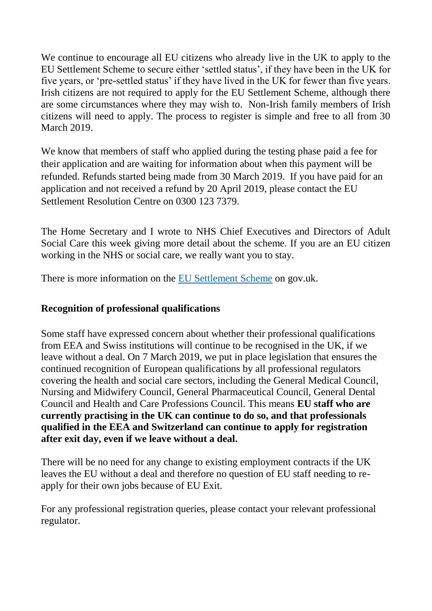We continue to encourage all EU citizens who already live in the UK to apply to the EU Settlement Scheme to secure either 'settled status', if they have been in the UK for five years, or 'pre-settled status' if they have lived in the UK for fewer than five years. Irish citizens are not required to apply for the EU Settlement Scheme, although there are some circumstances where they may wish to. Non-Irish family members of Irish citizens will need to apply. The process to register is simple and free to all from 30 March 2019.

We know that members of staff who applied during the testing phase paid a fee for their application and are waiting for information about when this payment will be refunded. Refunds started being made from 30 March 2019. If you have paid for an application and not received a refund by 20 April 2019, please contact the EU Settlement Resolution Centre on 0300 123 7379.

The Home Secretary and I wrote to NHS Chief Executives and Directors of Adult Social Care this week giving more detail about the scheme. If you are an EU citizen working in the NHS or social care, we really want you to stay.

There is more information on the [EU Settlement Scheme](https://www.gov.uk/settled-status-eu-citizens-families) on gov.uk.

# **Recognition of professional qualifications**

Some staff have expressed concern about whether their professional qualifications from EEA and Swiss institutions will continue to be recognised in the UK, if we leave without a deal. On 7 March 2019, we put in place legislation that ensures the continued recognition of European qualifications by all professional regulators covering the health and social care sectors, including the General Medical Council, Nursing and Midwifery Council, General Pharmaceutical Council, General Dental Council and Health and Care Professions Council. This means **EU staff who are currently practising in the UK can continue to do so, and that professionals qualified in the EEA and Switzerland can continue to apply for registration after exit day, even if we leave without a deal.** 

There will be no need for any change to existing employment contracts if the UK leaves the EU without a deal and therefore no question of EU staff needing to reapply for their own jobs because of EU Exit.

For any professional registration queries, please contact your relevant professional regulator.